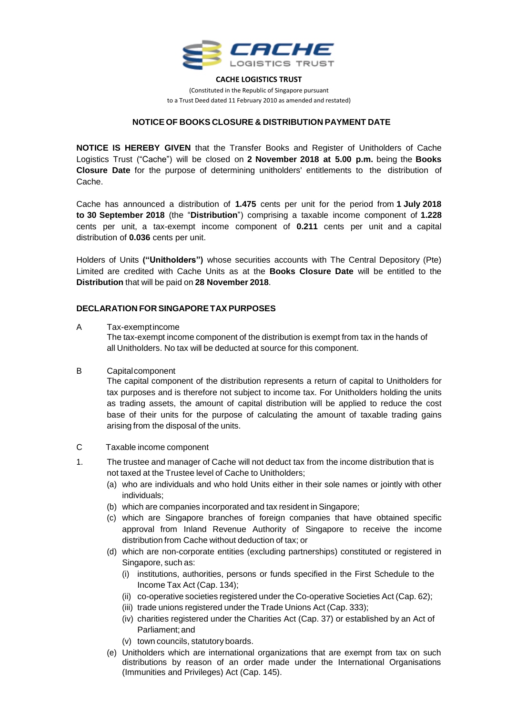

#### **CACHE LOGISTICS TRUST**

(Constituted in the Republic of Singapore pursuant to a Trust Deed dated 11 February 2010 as amended and restated)

## **NOTICE OF BOOKS CLOSURE & DISTRIBUTION PAYMENT DATE**

**NOTICE IS HEREBY GIVEN** that the Transfer Books and Register of Unitholders of Cache Logistics Trust ("Cache") will be closed on **2 November 2018 at 5.00 p.m.** being the **Books Closure Date** for the purpose of determining unitholders' entitlements to the distribution of Cache.

Cache has announced a distribution of **1.475** cents per unit for the period from **1 July 2018 to 30 September 2018** (the "**Distribution**") comprising a taxable income component of **1.228** cents per unit, a tax-exempt income component of **0.211** cents per unit and a capital distribution of **0.036** cents per unit.

Holders of Units **("Unitholders")** whose securities accounts with The Central Depository (Pte) Limited are credited with Cache Units as at the **Books Closure Date** will be entitled to the **Distribution** that will be paid on **28 November 2018**.

### **DECLARATION FOR SINGAPORETAX PURPOSES**

#### A Tax-exemptincome

The tax-exempt income component of the distribution is exempt from tax in the hands of all Unitholders. No tax will be deducted at source for this component.

B Capitalcomponent

The capital component of the distribution represents a return of capital to Unitholders for tax purposes and is therefore not subject to income tax. For Unitholders holding the units as trading assets, the amount of capital distribution will be applied to reduce the cost base of their units for the purpose of calculating the amount of taxable trading gains arising from the disposal of the units.

- C Taxable income component
- 1. The trustee and manager of Cache will not deduct tax from the income distribution that is not taxed at the Trustee level of Cache to Unitholders;
	- (a) who are individuals and who hold Units either in their sole names or jointly with other individuals;
	- (b) which are companies incorporated and tax resident in Singapore;
	- (c) which are Singapore branches of foreign companies that have obtained specific approval from Inland Revenue Authority of Singapore to receive the income distribution from Cache without deduction of tax; or
	- (d) which are non-corporate entities (excluding partnerships) constituted or registered in Singapore, such as:
		- (i) institutions, authorities, persons or funds specified in the First Schedule to the Income Tax Act (Cap. 134);
		- (ii) co-operative societies registered under the Co-operative Societies Act (Cap. 62);
		- (iii) trade unions registered under the Trade Unions Act (Cap. 333);
		- (iv) charities registered under the Charities Act (Cap. 37) or established by an Act of Parliament;and
		- (v) town councils, statutory boards.
	- (e) Unitholders which are international organizations that are exempt from tax on such distributions by reason of an order made under the International Organisations (Immunities and Privileges) Act (Cap. 145).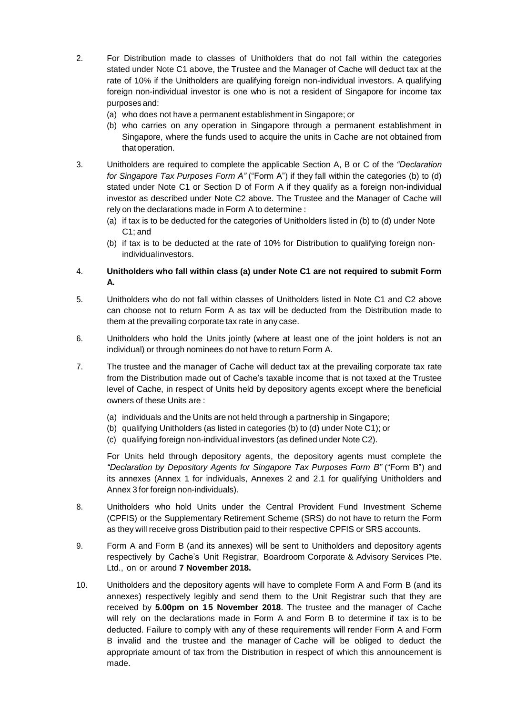- 2. For Distribution made to classes of Unitholders that do not fall within the categories stated under Note C1 above, the Trustee and the Manager of Cache will deduct tax at the rate of 10% if the Unitholders are qualifying foreign non-individual investors. A qualifying foreign non-individual investor is one who is not a resident of Singapore for income tax purposes and:
	- (a) who does not have a permanent establishment in Singapore; or
	- (b) who carries on any operation in Singapore through a permanent establishment in Singapore, where the funds used to acquire the units in Cache are not obtained from that operation.
- 3. Unitholders are required to complete the applicable Section A, B or C of the *"Declaration for Singapore Tax Purposes Form A"* ("Form A") if they fall within the categories (b) to (d) stated under Note C1 or Section D of Form A if they qualify as a foreign non-individual investor as described under Note C2 above. The Trustee and the Manager of Cache will rely on the declarations made in Form A to determine :
	- (a) if tax is to be deducted for the categories of Unitholders listed in (b) to (d) under Note C1; and
	- (b) if tax is to be deducted at the rate of 10% for Distribution to qualifying foreign nonindividualinvestors.

# 4. **Unitholders who fall within class (a) under Note C1 are not required to submit Form A.**

- 5. Unitholders who do not fall within classes of Unitholders listed in Note C1 and C2 above can choose not to return Form A as tax will be deducted from the Distribution made to them at the prevailing corporate tax rate in any case.
- 6. Unitholders who hold the Units jointly (where at least one of the joint holders is not an individual) or through nominees do not have to return Form A.
- 7. The trustee and the manager of Cache will deduct tax at the prevailing corporate tax rate from the Distribution made out of Cache's taxable income that is not taxed at the Trustee level of Cache, in respect of Units held by depository agents except where the beneficial owners of these Units are :
	- (a) individuals and the Units are not held through a partnership in Singapore;
	- (b) qualifying Unitholders (as listed in categories (b) to (d) under Note C1); or
	- (c) qualifying foreign non-individual investors (as defined under Note C2).

For Units held through depository agents, the depository agents must complete the *"Declaration by Depository Agents for Singapore Tax Purposes Form B"* ("Form B") and its annexes (Annex 1 for individuals, Annexes 2 and 2.1 for qualifying Unitholders and Annex 3 for foreign non-individuals).

- 8. Unitholders who hold Units under the Central Provident Fund Investment Scheme (CPFIS) or the Supplementary Retirement Scheme (SRS) do not have to return the Form as they will receive gross Distribution paid to their respective CPFIS or SRS accounts.
- 9. Form A and Form B (and its annexes) will be sent to Unitholders and depository agents respectively by Cache's Unit Registrar, Boardroom Corporate & Advisory Services Pte. Ltd., on or around **7 November 2018.**
- 10. Unitholders and the depository agents will have to complete Form A and Form B (and its annexes) respectively legibly and send them to the Unit Registrar such that they are received by **5.00pm on 15 November 2018**. The trustee and the manager of Cache will rely on the declarations made in Form A and Form B to determine if tax is to be deducted. Failure to comply with any of these requirements will render Form A and Form B invalid and the trustee and the manager of Cache will be obliged to deduct the appropriate amount of tax from the Distribution in respect of which this announcement is made.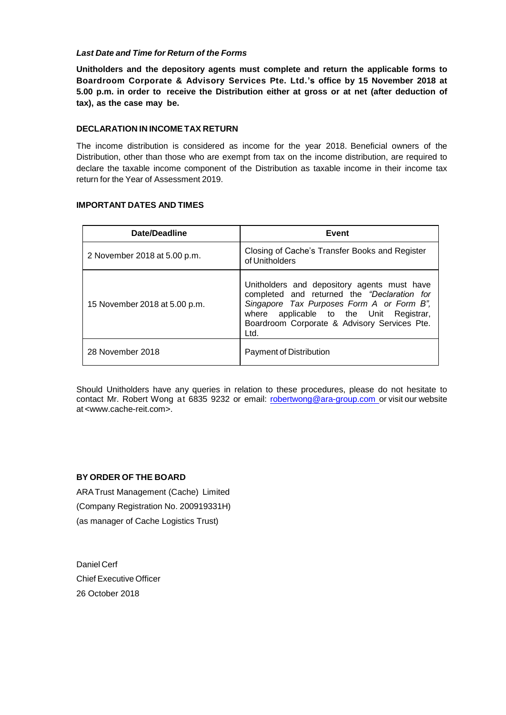### *Last Date and Time for Return of the Forms*

**Unitholders and the depository agents must complete and return the applicable forms to Boardroom Corporate & Advisory Services Pte. Ltd.'s office by 15 November 2018 at 5.00 p.m. in order to receive the Distribution either at gross or at net (after deduction of tax), as the case may be.**

### **DECLARATION IN INCOMETAX RETURN**

The income distribution is considered as income for the year 2018. Beneficial owners of the Distribution, other than those who are exempt from tax on the income distribution, are required to declare the taxable income component of the Distribution as taxable income in their income tax return for the Year of Assessment 2019.

# **IMPORTANT DATES AND TIMES**

| Date/Deadline                 | Event                                                                                                                                                                                                                                      |
|-------------------------------|--------------------------------------------------------------------------------------------------------------------------------------------------------------------------------------------------------------------------------------------|
| 2 November 2018 at 5.00 p.m.  | Closing of Cache's Transfer Books and Register<br>of Unitholders                                                                                                                                                                           |
| 15 November 2018 at 5.00 p.m. | Unitholders and depository agents must have<br>completed and returned the "Declaration for<br>Singapore Tax Purposes Form A or Form B",<br>where applicable to the Unit Registrar,<br>Boardroom Corporate & Advisory Services Pte.<br>Ltd. |
| 28 November 2018              | Payment of Distribution                                                                                                                                                                                                                    |

Should Unitholders have any queries in relation to these procedures, please do not hesitate to contact Mr. Robert Wong at 6835 9232 or email: [robertwong@ara-group.com](mailto:robertwong@ara.com.hk) or visit our website at [<www.cache-reit.com>](http://www.cache-reit.com/).

## **BY ORDER OF THE BOARD**

ARATrust Management (Cache) Limited (Company Registration No. 200919331H) (as manager of Cache Logistics Trust)

Daniel Cerf Chief Executive Officer 26 October 2018